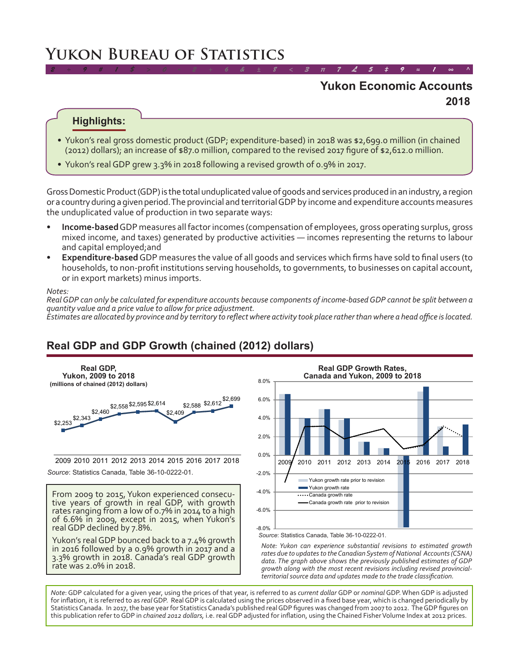# **Yukon Bureau of Statistics**

# **2018 Yukon Economic Accounts**

*2 ÷ 9 # 1 \$ > 0 - 2 + 6 & ± 8 < 3 π 7 £ 5 ‡ 9 ≈ 1 ∞ ^*

#### **Highlights:**

- Yukon's real gross domestic product (GDP; expenditure-based) in 2018 was \$2,699.0 million (in chained (2012) dollars); an increase of \$87.0 million, compared to the revised 2017 figure of \$2,612.0 million.
- Yukon's real GDP grew 3.3% in 2018 following a revised growth of 0.9% in 2017.

Gross Domestic Product (GDP) is the total unduplicated value of goods and services produced in an industry, a region or a country during a given period. The provincial and territorial GDP by income and expenditure accounts measures the unduplicated value of production in two separate ways:

- **• Income-based** GDP measures all factor incomes (compensation of employees, gross operating surplus, gross mixed income, and taxes) generated by productive activities — incomes representing the returns to labour and capital employed;and
- **Expenditure-based** GDP measures the value of all goods and services which firms have sold to final users (to households, to non-profit institutions serving households, to governments, to businesses on capital account, or in export markets) minus imports.

#### *Notes:*

*Real GDP can only be calculated for expenditure accounts because components of income-based GDP cannot be split between a quantity value and a price value to allow for price adjustment.*

*Estimates are allocated by province and by territory to reflect where activity took place rather than where a head office is located.*

# **Real GDP and GDP Growth (chained (2012) dollars)**



From 2009 to 2015, Yukon experienced consecu- tive years of growth in real GDP, with growth rates ranging from a low of 0.7% in 2014 to a high of 6.6% in 2009, except in 2015, when Yukon's real GDP declined by 7.8%.

Yukon's real GDP bounced back to a 7.4% growth in 2016 followed by a 0.9% growth in 2017 and a 3.3% growth in 2018. Canada's real GDP growth rate was 2.0% in 2018.



*Source*: Statistics Canada, Table 36-10-0222-01.

*Note: Yukon can experience substantial revisions to estimated growth rates due to updates to the Canadian System of National Accounts (CSNA) data. The graph above shows the previously published estimates of GDP growth along with the most recent revisions including revised provincialterritorial source data and updates made to the trade classification.*

*Note*: GDP calculated for a given year, using the prices of that year, is referred to as *current dollar* GDP or *nominal* GDP. When GDP is adjusted for inflation, it is referred to as *real* GDP. Real GDP is calculated using the prices observed in a fixed base year, which is changed periodically by Statistics Canada. In 2017, the base year for Statistics Canada's published real GDP figures was changed from 2007 to 2012. The GDP figures on this publication refer to GDP in *chained 2012 dollars,* i.e. real GDP adjusted for inflation, using the Chained Fisher Volume Index at 2012 prices.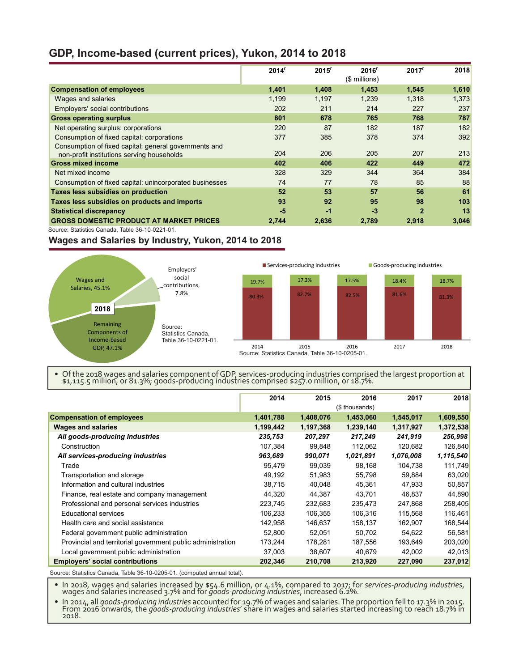### **GDP, Income-based (current prices), Yukon, 2014 to 2018**

| $2014^r$ | $2015^r$ | 2016'<br>(\$ millions) | 2017 <sup>r</sup> | 2018  |
|----------|----------|------------------------|-------------------|-------|
| 1,401    | 1,408    | 1,453                  | 1,545             | 1,610 |
| 1,199    | 1,197    | 1,239                  | 1,318             | 1,373 |
| 202      | 211      | 214                    | 227               | 237   |
| 801      | 678      | 765                    | 768               | 787   |
| 220      | 87       | 182                    | 187               | 182   |
| 377      | 385      | 378                    | 374               | 392   |
| 204      | 206      | 205                    | 207               | 213   |
| 402      | 406      | 422                    | 449               | 472   |
| 328      | 329      | 344                    | 364               | 384   |
| 74       | 77       | 78                     | 85                | 88    |
| 52       | 53       | 57                     | 56                | 61    |
| 93       | 92       | 95                     | 98                | 103   |
| $-5$     | $-1$     | $-3$                   | $\mathbf{2}$      | 13    |
| 2,744    | 2,636    | 2,789                  | 2,918             | 3,046 |
|          |          |                        |                   |       |

Source: Statistics Canada, Table 36-10-0221-01.

#### **Wages and Salaries by Industry, Yukon, 2014 to 2018**



• Of the 2018 wages and salaries component of GDP, services-producing industries comprised the largest proportion at \$1,115.5 million, or 81.3%; goods-producing industries comprised \$257.0 million, or 18.7%.

|                                                             | 2014      | 2015      | 2016           | 2017      | 2018      |
|-------------------------------------------------------------|-----------|-----------|----------------|-----------|-----------|
|                                                             |           |           | (\$ thousands) |           |           |
| <b>Compensation of employees</b>                            | 1,401,788 | 1,408,076 | 1,453,060      | 1,545,017 | 1,609,550 |
| <b>Wages and salaries</b>                                   | 1,199,442 | 1,197,368 | 1,239,140      | 1,317,927 | 1,372,538 |
| All goods-producing industries                              | 235,753   | 207,297   | 217,249        | 241,919   | 256,998   |
| Construction                                                | 107,384   | 99,848    | 112,062        | 120,682   | 126,840   |
| All services-producing industries                           | 963,689   | 990,071   | 1,021,891      | 1,076,008 | 1,115,540 |
| Trade                                                       | 95.479    | 99,039    | 98,168         | 104,738   | 111,749   |
| Transportation and storage                                  | 49,192    | 51,983    | 55,798         | 59,884    | 63,020    |
| Information and cultural industries                         | 38,715    | 40,048    | 45,361         | 47,933    | 50,857    |
| Finance, real estate and company management                 | 44,320    | 44,387    | 43,701         | 46,837    | 44,890    |
| Professional and personal services industries               | 223,745   | 232,683   | 235,473        | 247,868   | 258,405   |
| <b>Educational services</b>                                 | 106,233   | 106,355   | 106,316        | 115,568   | 116,461   |
| Health care and social assistance                           | 142,958   | 146,637   | 158,137        | 162,907   | 168,544   |
| Federal government public administration                    | 52,800    | 52,051    | 50,702         | 54,622    | 56,581    |
| Provincial and territorial government public administration | 173,244   | 178,281   | 187,556        | 193,649   | 203,020   |
| Local government public administration                      | 37,003    | 38,607    | 40,679         | 42,002    | 42,013    |
| <b>Employers' social contributions</b>                      | 202,346   | 210,708   | 213,920        | 227,090   | 237,012   |

Source: Statistics Canada, Table 36-10-0205-01. (computed annual total).

• In 2018, wages and salaries increased by \$54.6 million, or 4.1%, compared to 2017; for *services-producing industries*, wages and salaries increased 3.7% and for *goods-producing industries*, increased 6.2%.

In 2014, all goods-producing industries accounted for 19.7% of wages and salaries. The proportion fell to 17.3% in 2015.<br>From 2016 onwards, the goods-producing industries' share in wages and salaries started increasing to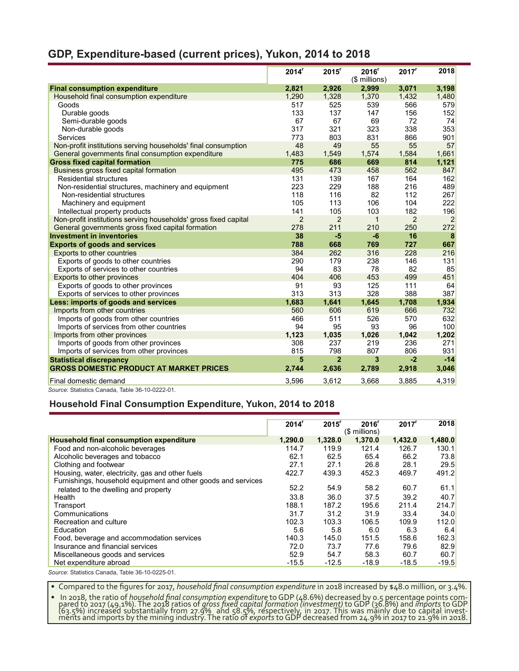### **GDP, Expenditure-based (current prices), Yukon, 2014 to 2018**

|                                                                 | 2014 <sup>r</sup> | $2015$ <sup>r</sup> | 2016'<br>(\$ millions) | 2017 <sup>r</sup> | 2018           |
|-----------------------------------------------------------------|-------------------|---------------------|------------------------|-------------------|----------------|
| <b>Final consumption expenditure</b>                            | 2,821             | 2,926               | 2,999                  | 3,071             | 3,198          |
| Household final consumption expenditure                         | 1.290             | 1,328               | 1,370                  | 1,432             | 1,480          |
| Goods                                                           | 517               | 525                 | 539                    | 566               | 579            |
| Durable goods                                                   | 133               | 137                 | 147                    | 156               | 152            |
| Semi-durable goods                                              | 67                | 67                  | 69                     | 72                | 74             |
| Non-durable goods                                               | 317               | 321                 | 323                    | 338               | 353            |
| Services                                                        | 773               | 803                 | 831                    | 866               | 901            |
| Non-profit institutions serving households' final consumption   | 48                | 49                  | 55                     | 55                | 57             |
| General governments final consumption expenditure               | 1,483             | 1,549               | 1,574                  | 1,584             | 1,661          |
| <b>Gross fixed capital formation</b>                            | 775               | 686                 | 669                    | 814               | 1,121          |
| Business gross fixed capital formation                          | 495               | 473                 | 458                    | 562               | 847            |
| <b>Residential structures</b>                                   | 131               | 139                 | 167                    | 164               | 162            |
| Non-residential structures, machinery and equipment             | 223               | 229                 | 188                    | 216               | 489            |
| Non-residential structures                                      | 118               | 116                 | 82                     | 112               | 267            |
| Machinery and equipment                                         | 105               | 113                 | 106                    | 104               | 222            |
| Intellectual property products                                  | 141               | 105                 | 103                    | 182               | 196            |
| Non-profit institutions serving households' gross fixed capital | $\overline{2}$    | $\overline{2}$      | $\mathbf{1}$           | 2                 | $\overline{2}$ |
| General governments gross fixed capital formation               | 278               | 211                 | 210                    | 250               | 272            |
| <b>Investment in inventories</b>                                | 38                | $-5$                | $-6$                   | 16                | 8              |
| <b>Exports of goods and services</b>                            | 788               | 668                 | 769                    | 727               | 667            |
| Exports to other countries                                      | 384               | 262                 | 316                    | 228               | 216            |
| Exports of goods to other countries                             | 290               | 179                 | 238                    | 146               | 131            |
| Exports of services to other countries                          | 94                | 83                  | 78                     | 82                | 85             |
| Exports to other provinces                                      | 404               | 406                 | 453                    | 499               | 451            |
| Exports of goods to other provinces                             | 91                | 93                  | 125                    | 111               | 64             |
| Exports of services to other provinces                          | 313               | 313                 | 328                    | 388               | 387            |
| Less: imports of goods and services                             | 1,683             | 1,641               | 1,645                  | 1,708             | 1,934          |
| Imports from other countries                                    | 560               | 606                 | 619                    | 666               | 732            |
| Imports of goods from other countries                           | 466               | 511                 | 526                    | 570               | 632            |
| Imports of services from other countries                        | 94                | 95                  | 93                     | 96                | 100            |
| Imports from other provinces                                    | 1.123             | 1,035               | 1,026                  | 1,042             | 1,202          |
| Imports of goods from other provinces                           | 308               | 237                 | 219                    | 236               | 271            |
| Imports of services from other provinces                        | 815               | 798                 | 807                    | 806               | 931            |
| <b>Statistical discrepancy</b>                                  | 5                 | $\overline{2}$      | 3                      | $-2$              | $-14$          |
| <b>GROSS DOMESTIC PRODUCT AT MARKET PRICES</b>                  | 2,744             | 2,636               | 2,789                  | 2,918             | 3,046          |
| Final domestic demand                                           | 3.596             | 3,612               | 3,668                  | 3.885             | 4,319          |
| Source: Statistics Canada, Table 36-10-0222-01.                 |                   |                     |                        |                   |                |

#### **Household Final Consumption Expenditure, Yukon, 2014 to 2018**

|                                                               | 2014 <sup>r</sup> | 2015 <sup>r</sup> | 2016 <sup>r</sup><br>(\$ millions) | 2017 <sup>r</sup> | 2018    |
|---------------------------------------------------------------|-------------------|-------------------|------------------------------------|-------------------|---------|
| Household final consumption expenditure                       | 1,290.0           | 1,328.0           | 1,370.0                            | 1,432.0           | 1,480.0 |
| Food and non-alcoholic beverages                              | 114.7             | 119.9             | 121.4                              | 126.7             | 130.1   |
| Alcoholic beverages and tobacco                               | 62.1              | 62.5              | 65.4                               | 66.2              | 73.8    |
| Clothing and footwear                                         | 27.1              | 27.1              | 26.8                               | 28.1              | 29.5    |
| Housing, water, electricity, gas and other fuels              | 422.7             | 439.3             | 452.3                              | 469.7             | 491.2   |
| Furnishings, household equipment and other goods and services |                   |                   |                                    |                   |         |
| related to the dwelling and property                          | 52.2              | 54.9              | 58.2                               | 60.7              | 61.1    |
| Health                                                        | 33.8              | 36.0              | 37.5                               | 39.2              | 40.7    |
| Transport                                                     | 188.1             | 187.2             | 195.6                              | 211.4             | 214.7   |
| Communications                                                | 31.7              | 31.2              | 31.9                               | 33.4              | 34.0    |
| Recreation and culture                                        | 102.3             | 103.3             | 106.5                              | 109.9             | 112.0   |
| Education                                                     | 5.6               | 5.8               | 6.0                                | 6.3               | 6.4     |
| Food, beverage and accommodation services                     | 140.3             | 145.0             | 151.5                              | 158.6             | 162.3   |
| Insurance and financial services                              | 72.0              | 73.7              | 77.6                               | 79.6              | 82.9    |
| Miscellaneous goods and services                              | 52.9              | 54.7              | 58.3                               | 60.7              | 60.7    |
| Net expenditure abroad                                        | $-15.5$           | $-12.5$           | $-18.9$                            | $-18.5$           | $-19.5$ |
|                                                               |                   |                   |                                    |                   |         |

*Source*: Statistics Canada, Table 36-10-0225-01.

• Compared to the figures for 2017, *household final consumption expenditure* in 2018 increased by \$48.0 million, or 3.4%.

• In 2018, the ratio of *household final consumption expenditure* to GDP (48.6%) decreased by 0.5 percentage points com-<br>pared to 2017 (49.1%). The 2018 ratios of *gross fixed capital formation (investment)* to GDP (36.8%) (63.5%) incréased substantially from 27.9% and 58.5%, respectively, in 2017. This was mainly due to capital invest-<br>ments and imports by the mining industry. The ratio of *exports* to GDP decreased from 24.9% in 2017 to 21